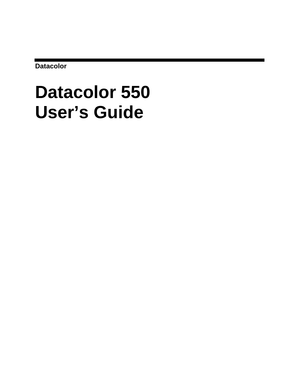**Datacolor** 

# **Datacolor 550 User's Guide**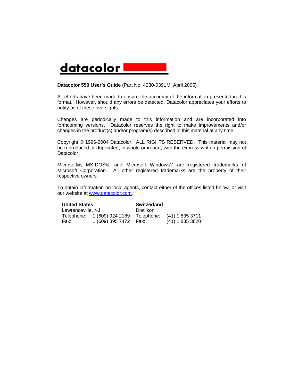## datacolor l

#### **Datacolor 550 User's Guide** (Part No. 4230-0391M, April 2005)

All efforts have been made to ensure the accuracy of the information presented in this format. However, should any errors be detected, Datacolor appreciates your efforts to notify us of these oversights.

Changes are periodically made to this information and are incorporated into forthcoming versions. Datacolor reserves the right to make improvements and/or changes in the product(s) and/or program(s) described in this material at any time.

Copyright © 1996-2004 Datacolor. ALL RIGHTS RESERVED. This material may not be reproduced or duplicated, in whole or in part, with the express written permission of Datacolor.

Microsoft®, MS-DOS®, and Microsoft Windows® are registered trademarks of Microsoft Corporation. All other registered trademarks are the property of their respective owners.

To obtain information on local agents, contact either of the offices listed below, or visit our website at [www.datacolor.com.](http://www.datacolor.com/)

| <b>United States</b> |                             | <b>Switzerland</b> |                            |
|----------------------|-----------------------------|--------------------|----------------------------|
| Lawrenceville, NJ    |                             | Dietlikon          |                            |
|                      | Telephone: 1 (609) 924 2189 |                    | Telephone: (41) 1 835 3711 |
| Fax:                 | 1 (609) 895 7472  Fax:      |                    | $(41)$ 1 835 3820          |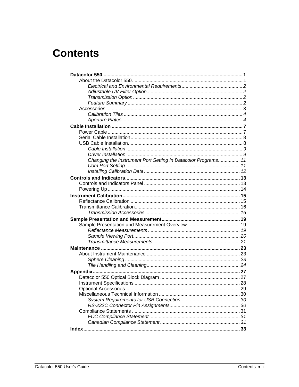## **Contents**

| Changing the Instrument Port Setting in Datacolor Programs 11 |  |
|---------------------------------------------------------------|--|
|                                                               |  |
|                                                               |  |
|                                                               |  |
|                                                               |  |
|                                                               |  |
|                                                               |  |
|                                                               |  |
|                                                               |  |
|                                                               |  |
|                                                               |  |
|                                                               |  |
|                                                               |  |
|                                                               |  |
|                                                               |  |
|                                                               |  |
|                                                               |  |
|                                                               |  |
|                                                               |  |
|                                                               |  |
|                                                               |  |
|                                                               |  |
|                                                               |  |
|                                                               |  |
|                                                               |  |
|                                                               |  |
|                                                               |  |
|                                                               |  |
|                                                               |  |
|                                                               |  |
|                                                               |  |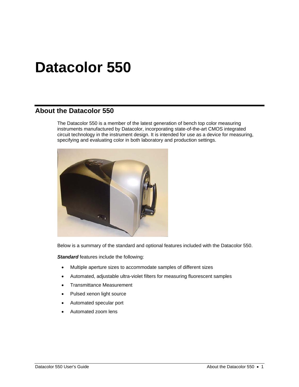## <span id="page-5-0"></span>**Datacolor 550**

#### <span id="page-5-1"></span>**About the Datacolor 550**

The Datacolor 550 is a member of the latest generation of bench top color measuring instruments manufactured by Datacolor, incorporating state-of-the-art CMOS integrated circuit technology in the instrument design. It is intended for use as a device for measuring, specifying and evaluating color in both laboratory and production settings.



Below is a summary of the standard and optional features included with the Datacolor 550.

**Standard** features include the following:

- Multiple aperture sizes to accommodate samples of different sizes
- Automated, adjustable ultra-violet filters for measuring fluorescent samples
- Transmittance Measurement
- Pulsed xenon light source
- Automated specular port
- Automated zoom lens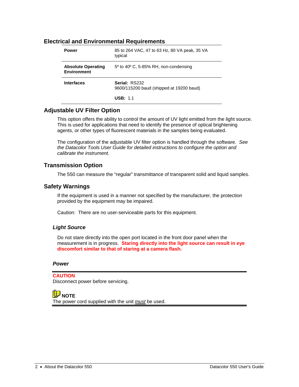#### <span id="page-6-0"></span>**Electrical and Environmental Requirements**

| Power                                           | 85 to 264 VAC, 47 to 63 Hz, 80 VA peak, 35 VA<br>typical  |  |
|-------------------------------------------------|-----------------------------------------------------------|--|
| <b>Absolute Operating</b><br><b>Environment</b> | $5^{\circ}$ to 40 $^{\circ}$ C, 5-85% RH, non-condensing  |  |
| <b>Interfaces</b>                               | Serial: RS232<br>9600/115200 baud (shipped at 19200 baud) |  |
|                                                 | <b>USB: 1.1</b>                                           |  |

#### <span id="page-6-1"></span>**Adjustable UV Filter Option**

This option offers the ability to control the amount of UV light emitted from the light source. This is used for applications that need to identify the presence of optical brightening agents, or other types of fluorescent materials in the samples being evaluated.

The configuration of the adjustable UV filter option is handled through the software. *See the Datacolor Tools User Guide for detailed instructions to configure the option and calibrate the instrument.* 

#### <span id="page-6-2"></span>**Transmission Option**

The 550 can measure the "regular" transmittance of transparent solid and liquid samples.

#### **Safety Warnings**

If the equipment is used in a manner not specified by the manufacturer, the protection provided by the equipment may be impaired.

Caution: There are no user-serviceable parts for this equipment.

#### *Light Source*

Do not stare directly into the open port located in the front door panel when the measurement is in progress. **Staring directly into the light source can result in eye discomfort similar to that of staring at a camera flash.** 

#### *Power*

#### **CAUTION**

Disconnect power before servicing.

**B** NOTE The power cord supplied with the unit *must* be used.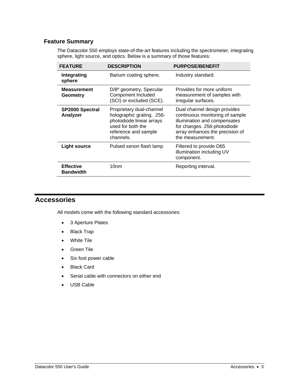#### **Feature Summary**

The Datacolor 550 employs state-of-the-art features including the spectrometer, integrating sphere, light source, and optics. Below is a summary of those features:

| <b>FEATURE</b>                       | <b>DESCRIPTION</b>                                                                                                                          | <b>PURPOSE/BENEFIT</b>                                                                                                                                                                |
|--------------------------------------|---------------------------------------------------------------------------------------------------------------------------------------------|---------------------------------------------------------------------------------------------------------------------------------------------------------------------------------------|
| Integrating<br>sphere                | Barium coating sphere.                                                                                                                      | Industry standard.                                                                                                                                                                    |
| <b>Measurement</b><br>Geometry       | D/8 <sup>o</sup> geometry, Specular<br>Component Included<br>(SCI) or excluded (SCE).                                                       | Provides for more uniform<br>measurement of samples with<br>irregular surfaces.                                                                                                       |
| <b>SP2000 Spectral</b><br>Analyzer   | Proprietary dual-channel<br>holographic grating. 256-<br>photodiode linear arrays<br>used for both the<br>reference and sample<br>channels. | Dual channel design provides<br>continuous monitoring of sample<br>illumination and compensates<br>for changes. 256-photodiode<br>array enhances the precision of<br>the measurement. |
| <b>Light source</b>                  | Pulsed xenon flash lamp                                                                                                                     | Filtered to provide D65<br>illumination including UV<br>component.                                                                                                                    |
| <b>Effective</b><br><b>Bandwidth</b> | 10nm                                                                                                                                        | Reporting interval.                                                                                                                                                                   |

#### <span id="page-7-1"></span><span id="page-7-0"></span>**Accessories**

All models come with the following standard accessories:

- 3 Aperture Plates
- Black Trap
- White Tile
- Green Tile
- Six foot power cable
- Black Card
- Serial cable with connectors on either end
- USB Cable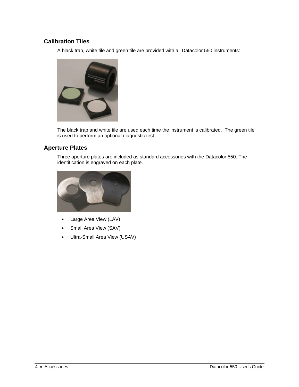#### **Calibration Tiles**

A black trap, white tile and green tile are provided with all Datacolor 550 instruments:



The black trap and white tile are used each time the instrument is calibrated. The green tile is used to perform an optional diagnostic test.

#### <span id="page-8-1"></span>**Aperture Plates**

Three aperture plates are included as standard accessories with the Datacolor 550. The identification is engraved on each plate.



- Large Area View (LAV)
- Small Area View (SAV)
- <span id="page-8-0"></span>• Ultra-Small Area View (USAV)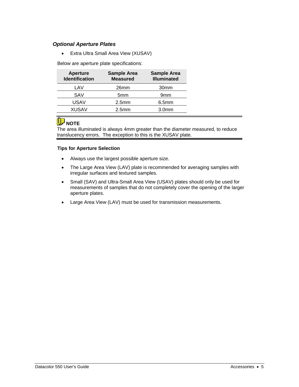#### *Optional Aperture Plates*

• Extra Ultra Small Area View (XUSAV)

Below are aperture plate specifications:

| <b>Aperture</b><br><b>Identification</b> | <b>Sample Area</b><br><b>Measured</b> | <b>Sample Area</b><br><b>Illuminated</b> |
|------------------------------------------|---------------------------------------|------------------------------------------|
| LAV                                      | 26mm                                  | 30 <sub>mm</sub>                         |
| SAV                                      | 5mm                                   | 9 <sub>mm</sub>                          |
| <b>USAV</b>                              | 2.5 <sub>mm</sub>                     | 6.5 <sub>mm</sub>                        |
| XUSAV                                    | 2.5 <sub>mm</sub>                     | 3.0 <sub>mm</sub>                        |

## **D** NOTE

The area illuminated is always 4mm greater than the diameter measured, to reduce translucency errors. The exception to this is the XUSAV plate.

#### **Tips for Aperture Selection**

- Always use the largest possible aperture size.
- The Large Area View (LAV) plate is recommended for averaging samples with irregular surfaces and textured samples.
- Small (SAV) and Ultra-Small Area View (USAV) plates should only be used for measurements of samples that do not completely cover the opening of the larger aperture plates.
- Large Area View (LAV) must be used for transmission measurements.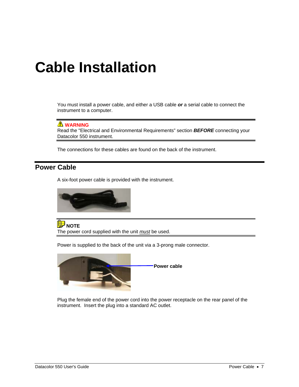## <span id="page-11-0"></span>**Cable Installation**

You must install a power cable, and either a USB cable *or* a serial cable to connect the instrument to a computer.

#### *A* WARNING

Read the "Electrical and Environmental Requirements" section *BEFORE* connecting your Datacolor 550 instrument.

The connections for these cables are found on the back of the instrument.

#### <span id="page-11-1"></span>**Power Cable**

A six-foot power cable is provided with the instrument.



**D** NOTE The power cord supplied with the unit *must* be used.

Power is supplied to the back of the unit via a 3-prong male connector.



Plug the female end of the power cord into the power receptacle on the rear panel of the instrument. Insert the plug into a standard AC outlet.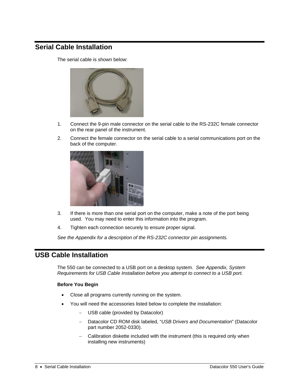### <span id="page-12-0"></span>**Serial Cable Installation**

The serial cable is shown below:



- 1. Connect the 9-pin male connector on the serial cable to the RS-232C female connector on the rear panel of the instrument.
- 2. Connect the female connector on the serial cable to a serial communications port on the back of the computer.



- 3. If there is more than one serial port on the computer, make a note of the port being used. You may need to enter this information into the program.
- 4. Tighten each connection securely to ensure proper signal.

*See the Appendix for a description of the RS-232C connector pin assignments.* 

#### <span id="page-12-1"></span>**USB Cable Installation**

The 550 can be connected to a USB port on a desktop system. *See Appendix, System Requirements for USB Cable Installation before you attempt to connect to a USB port.*

#### **Before You Begin**

- Close all programs currently running on the system.
- You will need the accessories listed below to complete the installation:
	- USB cable (provided by Datacolor)
	- − Datacolor CD ROM disk labeled, "*USB Drivers and Documentation*" (Datacolor part number 2052-0330).
	- Calibration diskette included with the instrument (this is required only when installing new instruments)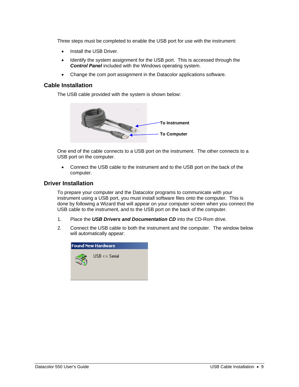Three steps must be completed to enable the USB port for use with the instrument:

- Install the USB Driver.
- Identify the system assignment for the USB port. This is accessed through the *Control Panel* included with the Windows operating system.
- Change the com port assignment in the Datacolor applications software.

#### <span id="page-13-0"></span>**Cable Installation**

The USB cable provided with the system is shown below:



One end of the cable connects to a USB port on the instrument. The other connects to a USB port on the computer.

• Connect the USB cable to the instrument and to the USB port on the back of the computer.

#### <span id="page-13-1"></span>**Driver Installation**

To prepare your computer and the Datacolor programs to communicate with your instrument using a USB port, you must install software files onto the computer. This is done by following a Wizard that will appear on your computer screen when you connect the USB cable to the instrument, and to the USB port on the back of the computer.

- 1. Place the *USB Drivers and Documentation CD* into the CD-Rom drive.
- 2. Connect the USB cable to both the instrument and the computer. The window below will automatically appear:

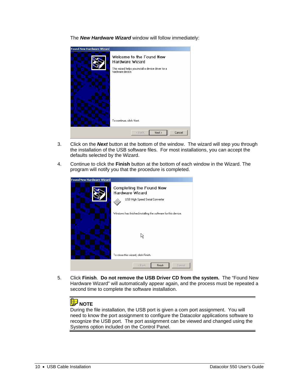The *New Hardware Wizard* window will follow immediately:

| <b>Found New Hardware Wizard</b> |                                                                                                                                                    |
|----------------------------------|----------------------------------------------------------------------------------------------------------------------------------------------------|
|                                  | Welcome to the Found New<br>Hardware Wizard<br>This wizard helps you install a device driver for a<br>hardware device.<br>To continue, click Next. |
|                                  | Next ><br>Cancel<br>< Back                                                                                                                         |

- 3. Click on the *Next* button at the bottom of the window. The wizard will step you through the installation of the USB software files. For most installations, you can accept the defaults selected by the Wizard.
- 4. Continue to click the **Finish** button at the bottom of each window in the Wizard. The program will notify you that the procedure is completed.

| <b>Found New Hardware Wizard</b> |                                                                                       |  |
|----------------------------------|---------------------------------------------------------------------------------------|--|
|                                  | Completing the Found New<br><b>Hardware Wizard</b><br>USB High Speed Serial Converter |  |
|                                  | Windows has finished installing the software for this device.                         |  |
|                                  | 分                                                                                     |  |
|                                  | To close this wizard, click Finish.                                                   |  |
|                                  | Finish<br>Cancel<br>< Back                                                            |  |

5. Click **Finish**. **Do not remove the USB Driver CD from the system.** The "Found New Hardware Wizard" will automatically appear again, and the process must be repeated a second time to complete the software installation.

## **D** NOTE

During the file installation, the USB port is given a com port assignment. You will need to know the port assignment to configure the Datacolor applications software to recognize the USB port. The port assignment can be viewed and changed using the Systems option included on the Control Panel.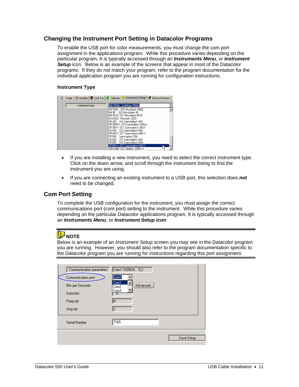#### <span id="page-15-0"></span>**Changing the Instrument Port Setting in Datacolor Programs**

To enable the USB port for color measurements, you must change the com port assignment in the applications program. While this procedure varies depending on the particular program, It is typically accessed through an *Instruments Menu*, or *Instrument*  **Setup** icon. Below is an example of the screens that appear in most of the Datacolor programs. If they do not match your program, refer to the program documentation for the individual application program you are running for configuration instructions.

#### **Instrument Type**

| Single $\boxed{\mathbf{Z}}$ Multiple $\boxed{\mathbf{Z}}$ Until Tol. $\boxed{\mathbf{P}}$ Calibrate<br>п | <mark>♀</mark> Instruments Setup   <mark>●</mark> General Options |
|----------------------------------------------------------------------------------------------------------|-------------------------------------------------------------------|
| Instrument type:                                                                                         | ICE 7000A : ColorEye 7000A                                        |
|                                                                                                          | MF200D : DCI Microflash 200d<br>MF45 : DCI Microflash 45          |
|                                                                                                          | MF45-IR: DCI Microflash 45 IR<br>MS2025: Macbeth 2025             |
|                                                                                                          | SF300 : DCI Spectraflash 300<br>SF300UV: DCI Spectraflash 300uv   |
|                                                                                                          | SF350-X: DCI Spectraflash 350-X<br>SF450 : DCI Spectraflash 450   |
|                                                                                                          | SF450-X: DCI Spectraflash 450-X                                   |
|                                                                                                          | SF500 : Spectraflash 500<br>SF600 : DCI Spectraflash 600          |
|                                                                                                          | SF600 : DCI Spectraflash 600+<br>SF600-X: DCI Spectraflash 600-X  |
|                                                                                                          | SIM2000: DCI Simulus 2000++                                       |

- If you are installing a new instrument, you need to select the correct instrument type. Click on the down arrow, and scroll through the instrument listing to find the instrument you are using.
- If you are connecting an existing instrument to a USB port, this selection does *not* need to be changed.

#### <span id="page-15-1"></span>**Com Port Setting**

To complete the USB configuration for the instrument, you must assign the correct communications port (com port) setting to the instrument. While this procedure varies depending on the particular Datacolor applications program, It is typically accessed through an *Instruments Menu*, or *Instrument Setup icon*.

## **D** NOTE

Below is an example of an *Instrument Setup* screen you may see in the Datacolor program you are running. However, you should also refer to the program documentation specific to the Datacolor program you are running for instructions regarding this port assignment.

| Communication parameters<br>Communication port:<br>Bits per Seconds<br>Data bits:<br>Parity bit:<br>Stop bit: | Com1:19200,N, 8,2<br>Com1<br>Com1<br>Advanced<br>Com <sub>2</sub><br>Com <sub>3</sub><br>ष<br>IΝ<br>12 |            |
|---------------------------------------------------------------------------------------------------------------|--------------------------------------------------------------------------------------------------------|------------|
| Serial Number                                                                                                 | 7165                                                                                                   |            |
|                                                                                                               |                                                                                                        | Save Setup |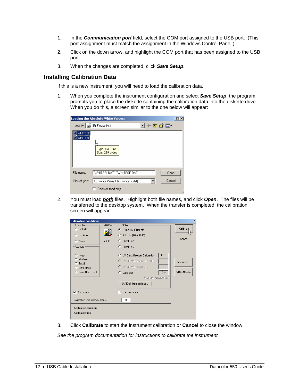- 1. In the *Communication port* field, select the COM port assigned to the USB port. (This port assignment must match the assignment in the Windows Control Panel.)
- 2. Click on the down arrow, and highlight the COM port that has been assigned to the USB port.
- 3. When the changes are completed, click *Save Setup*.

#### <span id="page-16-0"></span>**Installing Calibration Data**

If this is a new instrument, you will need to load the calibration data.

1. When you complete the instrument configuration and select *Save Setup*, the program prompts you to place the diskette containing the calibration data into the diskette drive. When you do this, a screen similar to the one below will appear:

|                    | Loading the Absolute White Values:<br>?            |
|--------------------|----------------------------------------------------|
|                    | ਪ ← © o* ⊞•<br>Look in: $\boxed{=}$ 3½ Floppy (A:) |
| WHITESE<br>WHITESI | Type: DAT File<br>Size: 299 bytes                  |
| File name:         | "WHITESI.DAT" "WHITESE.DAT"<br>Open                |
| Files of type:     | Cancel<br>Abs.white Value Files (whites?.dat)<br>▼ |
|                    | Open as read-only                                  |

2. You must load *both* files. Highlight both file names, and click *Open*. The files will be transferred to the desktop system. When the transfer is completed, the calibration screen will appear.

| <b>Calibration conditions</b>                                             |                   |                                                                                                                                                                                     | ×                        |
|---------------------------------------------------------------------------|-------------------|-------------------------------------------------------------------------------------------------------------------------------------------------------------------------------------|--------------------------|
| Specular-<br>$\binom{2}{3}$ Include<br>$C$ Exclude<br>C Gloss<br>Aperture | $s$ f600+<br>V914 | UV-Filter-<br>● 100 % UV (Filter off)<br>C 0 % UV (Filter FL40)<br>C Filter FL42<br>C Filter FL46                                                                                   | Calibrate<br>Cancel      |
| C Large<br>C Medium<br>$C$ Small<br>C Ultra Small<br>C Extra Ultra Small  |                   | 68.0<br><b>C</b> UV Ganz-Griesser Calibration<br>C UV CIE Whiteness D65/10<br>C UV CIE Whiteness C/2<br>0.0<br>Calibrator<br>o<br>% remaining part of UV<br>UV-Excl.filters options | Abs.white<br>Gloss table |
| $\nabla$ Auto-Zoom<br>Calibration time interval (hours) :                 |                   | Transmittance<br>8                                                                                                                                                                  |                          |
| Calibration condition:<br>Calibration time:                               |                   |                                                                                                                                                                                     |                          |

3. Click **Calibrate** to start the instrument calibration or **Cancel** to close the window.

*See the program documentation for instructions to calibrate the instrument.*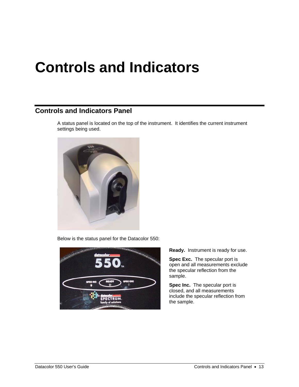## <span id="page-17-0"></span>**Controls and Indicators**

### <span id="page-17-1"></span>**Controls and Indicators Panel**

A status panel is located on the top of the instrument. It identifies the current instrument settings being used.



Below is the status panel for the Datacolor 550:



**Ready.** Instrument is ready for use.

**Spec Exc.** The specular port is open and all measurements exclude the specular reflection from the sample.

**Spec Inc.** The specular port is closed, and all measurements include the specular reflection from the sample.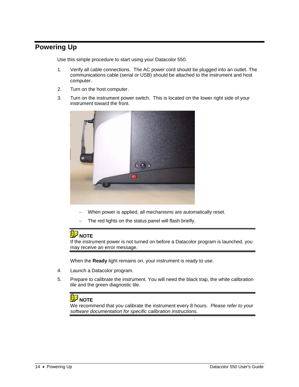### <span id="page-18-0"></span>**Powering Up**

Use this simple procedure to start using your Datacolor 550.

- 1. Verify all cable connections. The AC power cord should be plugged into an outlet. The communications cable (serial or USB) should be attached to the instrument and host computer.
- 2. Turn on the host computer.
- 3. Turn on the instrument power switch. This is located on the lower right side of your instrument toward the front.



- When power is applied, all mechanisms are automatically reset.
- The red lights on the status panel will flash briefly.

### **D** NOTE

If the instrument power is not turned on before a Datacolor program is launched, you may receive an error message.

When the **Ready** light remains on, your instrument is ready to use.

- 4. Launch a Datacolor program.
- 5. Prepare to calibrate the instrument. You will need the black trap, the white calibration tile and the green diagnostic tile.

## **D** NOTE

We recommend that you calibrate the instrument every 8 hours. *Please refer to your software documentation for specific calibration instructions.*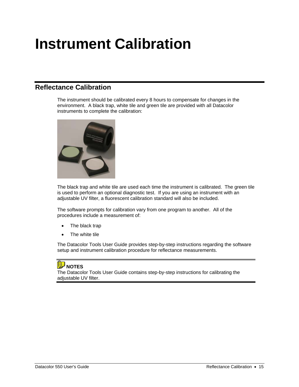## <span id="page-19-0"></span>**Instrument Calibration**

### <span id="page-19-1"></span>**Reflectance Calibration**

The instrument should be calibrated every 8 hours to compensate for changes in the environment. A black trap, white tile and green tile are provided with all Datacolor instruments to complete the calibration:



The black trap and white tile are used each time the instrument is calibrated. The green tile is used to perform an optional diagnostic test. If you are using an instrument with an adjustable UV filter, a fluorescent calibration standard will also be included.

The software prompts for calibration vary from one program to another. All of the procedures include a measurement of:

- The black trap
- The white tile

The Datacolor Tools User Guide provides step-by-step instructions regarding the software setup and instrument calibration procedure for reflectance measurements.

## **D** NOTES

The Datacolor Tools User Guide contains step-by-step instructions for calibrating the adjustable UV filter.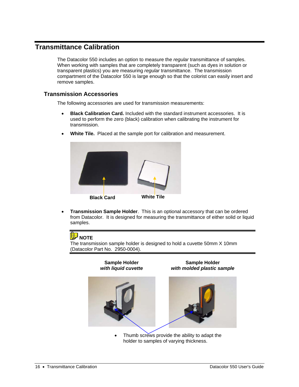### <span id="page-20-0"></span>**Transmittance Calibration**

The Datacolor 550 includes an option to measure the *regular* transmittance of samples. When working with samples that are completely transparent (such as dyes in solution or transparent plastics) you are measuring *regular* transmittance. The transmission compartment of the Datacolor 550 is large enough so that the colorist can easily insert and remove samples.

#### <span id="page-20-1"></span>**Transmission Accessories**

The following accessories are used for transmission measurements:

- **Black Calibration Card.** Included with the standard instrument accessories. It is used to perform the zero (black) calibration when calibrating the instrument for transmission.
- **White Tile.** Placed at the sample port for calibration and measurement.



• **Transmission Sample Holder**. This is an optional accessory that can be ordered from Datacolor. It is designed for measuring the transmittance of either solid or liquid samples.

## **D** NOTE

The transmission sample holder is designed to hold a cuvette 50mm X 10mm (Datacolor Part No. 2950-0004).



Thumb screws provide the ability to adapt the holder to samples of varying thickness.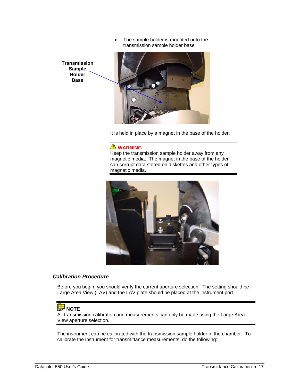The sample holder is mounted onto the transmission sample holder base

**Transmission Sample Holder Base** 



It is held in place by a magnet in the base of the holder.

#### **WARNING**

Keep the transmission sample holder away from any magnetic media. The magnet in the base of the holder can corrupt data stored on diskettes and other types of magnetic media.



#### *Calibration Procedure*

Before you begin, you should verify the current aperture selection. The setting should be Large Area View (LAV) and the LAV plate should be placed at the instrument port.

### **D** NOTE

All transmission calibration and measurements can only be made using the Large Area View aperture selection.

The instrument can be calibrated with the transmission sample holder in the chamber. To calibrate the instrument for transmittance measurements, do the following: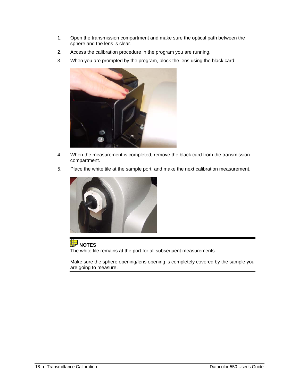- 1. Open the transmission compartment and make sure the optical path between the sphere and the lens is clear.
- 2. Access the calibration procedure in the program you are running.
- 3. When you are prompted by the program, block the lens using the black card:



- 4. When the measurement is completed, remove the black card from the transmission compartment.
- 5. Place the white tile at the sample port, and make the next calibration measurement.



**D** NOTES The white tile remains at the port for all subsequent measurements.

Make sure the sphere opening/lens opening is completely covered by the sample you are going to measure.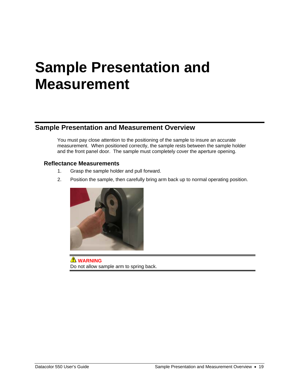## <span id="page-23-0"></span>**Sample Presentation and Measurement**

### <span id="page-23-1"></span>**Sample Presentation and Measurement Overview**

You must pay close attention to the positioning of the sample to insure an accurate measurement. When positioned correctly, the sample rests between the sample holder and the front panel door. The sample must completely cover the aperture opening.

#### <span id="page-23-2"></span>**Reflectance Measurements**

- 1. Grasp the sample holder and pull forward.
- 2. Position the sample, then carefully bring arm back up to normal operating position.



**WARNING** Do not allow sample arm to spring back.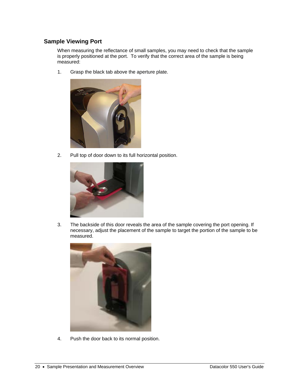#### <span id="page-24-0"></span>**Sample Viewing Port**

When measuring the reflectance of small samples, you may need to check that the sample is properly positioned at the port. To verify that the correct area of the sample is being measured:

1. Grasp the black tab above the aperture plate.



2. Pull top of door down to its full horizontal position.



3. The backside of this door reveals the area of the sample covering the port opening. If necessary, adjust the placement of the sample to target the portion of the sample to be measured.



4. Push the door back to its normal position.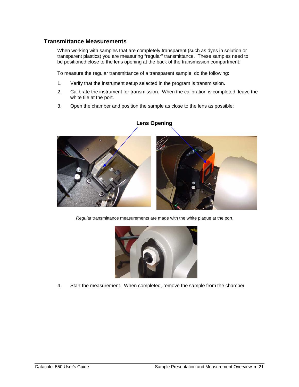#### <span id="page-25-0"></span>**Transmittance Measurements**

When working with samples that are completely transparent (such as dyes in solution or transparent plastics) you are measuring "regular" transmittance. These samples need to be positioned close to the lens opening at the back of the transmission compartment:

To measure the regular transmittance of a transparent sample, do the following:

- 1. Verify that the instrument setup selected in the program is transmission.
- 2. Calibrate the instrument for transmission. When the calibration is completed, leave the white tile at the port.
- 3. Open the chamber and position the sample as close to the lens as possible:



#### **Lens Opening**

*Regula*r transmittance measurements are made with the white plaque at the port.



4. Start the measurement. When completed, remove the sample from the chamber.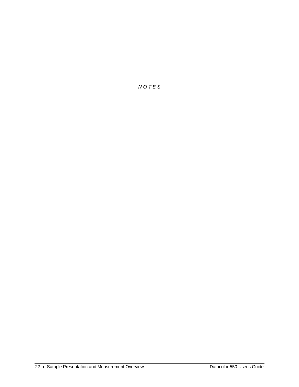*N O T E S*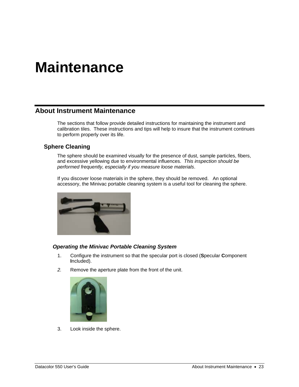## <span id="page-27-0"></span>**Maintenance**

#### <span id="page-27-1"></span>**About Instrument Maintenance**

The sections that follow provide detailed instructions for maintaining the instrument and calibration tiles. These instructions and tips will help to insure that the instrument continues to perform properly over its life.

#### <span id="page-27-2"></span>**Sphere Cleaning**

The sphere should be examined visually for the presence of dust, sample particles, fibers, and excessive yellowing due to environmental influences. *This inspection should be performed frequently, especially if you measure loose materials*.

If you discover loose materials in the sphere, they should be removed. An optional accessory, the Minivac portable cleaning system is a useful tool for cleaning the sphere.



#### *Operating the Minivac Portable Cleaning System*

- 1. Configure the instrument so that the specular port is closed (**S**pecular **C**omponent **I**ncluded).
- *2.* Remove the aperture plate from the front of the unit.



3. Look inside the sphere.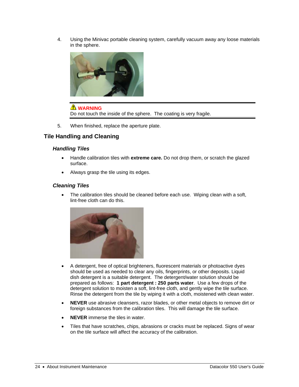4. Using the Minivac portable cleaning system, carefully vacuum away any loose materials in the sphere.



#### **WARNING**

Do not touch the inside of the sphere. The coating is very fragile.

5. When finished, replace the aperture plate.

#### <span id="page-28-0"></span>**Tile Handling and Cleaning**

#### *Handling Tiles*

- Handle calibration tiles with **extreme care.** Do not drop them, or scratch the glazed surface.
- Always grasp the tile using its edges.

#### *Cleaning Tiles*

• The calibration tiles should be cleaned before each use. Wiping clean with a soft, lint-free cloth can do this.



- A detergent, free of optical brighteners, fluorescent materials or photoactive dyes should be used as needed to clear any oils, fingerprints, or other deposits. Liquid dish detergent is a suitable detergent. The detergent/water solution should be prepared as follows: **1 part detergent : 250 parts water**. Use a few drops of the detergent solution to moisten a soft, lint-free cloth, and gently wipe the tile surface. Rinse the detergent from the tile by wiping it with a cloth, moistened with clean water.
- **NEVER** use abrasive cleansers, razor blades, or other metal objects to remove dirt or foreign substances from the calibration tiles. This will damage the tile surface.
- **NEVER** immerse the tiles in water.
- Tiles that have scratches, chips, abrasions or cracks must be replaced. Signs of wear on the tile surface will affect the accuracy of the calibration.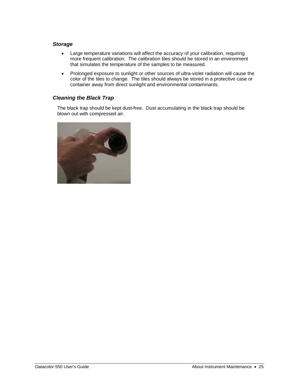#### *Storage*

- Large temperature variations will affect the accuracy of your calibration, requiring more frequent calibration. The calibration tiles should be stored in an environment that simulates the temperature of the samples to be measured.
- Prolonged exposure to sunlight or other sources of ultra-violet radiation will cause the color of the tiles to change. The tiles should always be stored in a protective case or container away from direct sunlight and environmental contaminants.

#### *Cleaning the Black Trap*

The black trap should be kept dust-free. Dust accumulating in the black trap should be blown out with compressed air.

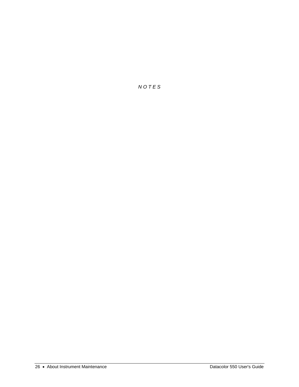*N O T E S*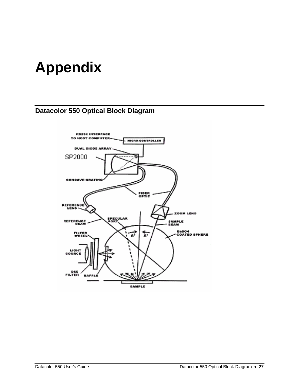## <span id="page-31-0"></span>**Appendix**

## <span id="page-31-1"></span>**Datacolor 550 Optical Block Diagram**

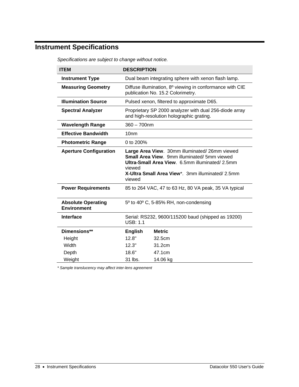## <span id="page-32-0"></span>**Instrument Specifications**

| <b>ITEM</b>                                     | <b>DESCRIPTION</b>                                                                                                                                                                                                             |                                                                                                    |
|-------------------------------------------------|--------------------------------------------------------------------------------------------------------------------------------------------------------------------------------------------------------------------------------|----------------------------------------------------------------------------------------------------|
| <b>Instrument Type</b>                          | Dual beam integrating sphere with xenon flash lamp.                                                                                                                                                                            |                                                                                                    |
| <b>Measuring Geometry</b>                       | Diffuse illumination, 8 <sup>o</sup> viewing in conformance with CIE<br>publication No. 15.2 Colorimetry.                                                                                                                      |                                                                                                    |
| <b>Illumination Source</b>                      |                                                                                                                                                                                                                                | Pulsed xenon, filtered to approximate D65.                                                         |
| <b>Spectral Analyzer</b>                        |                                                                                                                                                                                                                                | Proprietary SP 2000 analyzer with dual 256-diode array<br>and high-resolution holographic grating. |
| <b>Wavelength Range</b>                         | $360 - 700$ nm                                                                                                                                                                                                                 |                                                                                                    |
| <b>Effective Bandwidth</b>                      | 10 <sub>nm</sub>                                                                                                                                                                                                               |                                                                                                    |
| <b>Photometric Range</b>                        | 0 to 200%                                                                                                                                                                                                                      |                                                                                                    |
| <b>Aperture Configuration</b>                   | Large Area View. 30mm illuminated/26mm viewed<br><b>Small Area View.</b> 9mm illuminated/ 5mm viewed<br>Ultra-Small Area View. 6.5mm illuminated/ 2.5mm<br>viewed<br>X-Ultra Small Area View*, 3mm illuminated/2.5mm<br>viewed |                                                                                                    |
| <b>Power Requirements</b>                       | 85 to 264 VAC, 47 to 63 Hz, 80 VA peak, 35 VA typical                                                                                                                                                                          |                                                                                                    |
| <b>Absolute Operating</b><br><b>Environment</b> | 5 <sup>°</sup> to 40 <sup>°</sup> C, 5-85% RH, non-condensing                                                                                                                                                                  |                                                                                                    |
| <b>Interface</b>                                | Serial: RS232, 9600/115200 baud (shipped as 19200)<br><b>USB: 1.1</b>                                                                                                                                                          |                                                                                                    |
| Dimensions**                                    | <b>English</b>                                                                                                                                                                                                                 | <b>Metric</b>                                                                                      |
| Height                                          | 12.8"                                                                                                                                                                                                                          | 32.5cm                                                                                             |
| Width                                           | 12.3"                                                                                                                                                                                                                          | 31.2cm                                                                                             |
| Depth                                           | 18.6"                                                                                                                                                                                                                          | 47.1cm                                                                                             |
|                                                 |                                                                                                                                                                                                                                |                                                                                                    |

*Specifications are subject to change without notice.* 

*\* Sample translucency may affect inter-lens agreement*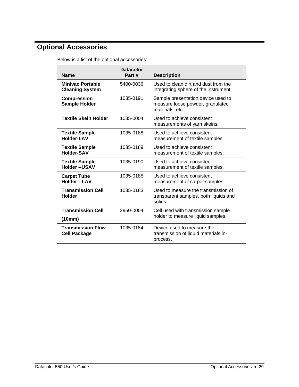## <span id="page-33-0"></span> **Optional Accessories**

Below is a list of the optional accessories:

| <b>Name</b>                                       | <b>Datacolor</b><br>Part# | <b>Description</b>                                                                        |
|---------------------------------------------------|---------------------------|-------------------------------------------------------------------------------------------|
| <b>Minivac Portable</b><br><b>Cleaning System</b> | 5400-0036                 | Used to clean dirt and dust from the<br>integrating sphere of the instrument.             |
| <b>Compression</b><br><b>Sample Holder</b>        | 1035-0191                 | Sample presentation device used to<br>measure loose powder, granulated<br>materials, etc. |
| <b>Textile Skein Holder</b>                       | 1035-0004                 | Used to achieve consistent<br>measurements of yarn skeins.                                |
| <b>Textile Sample</b><br><b>Holder-LAV</b>        | 1035-0188                 | Used to achieve consistent<br>measurement of textile samples                              |
| <b>Textile Sample</b><br>Holder-SAV               | 1035-0189                 | Used to achieve consistent<br>measurement of textile samples.                             |
| <b>Textile Sample</b><br><b>Holder--USAV</b>      | 1035-0190                 | Used to achieve consistent<br>measurement of textile samples.                             |
| <b>Carpet Tube</b><br>Holder-LAV                  | 1035-0185                 | Used to achieve consistent<br>measurement of carpet samples.                              |
| <b>Transmission Cell</b><br><b>Holder</b>         | 1035-0183                 | Used to measure the transmission of<br>transparent samples, both liquids and<br>solids.   |
| <b>Transmission Cell</b><br>(10mm)                | 2950-0004                 | Cell used with transmission sample<br>holder to measure liquid samples.                   |
| <b>Transmission Flow</b><br><b>Cell Package</b>   | 1035-0184                 | Device used to measure the<br>transmission of liquid materials in-<br>process.            |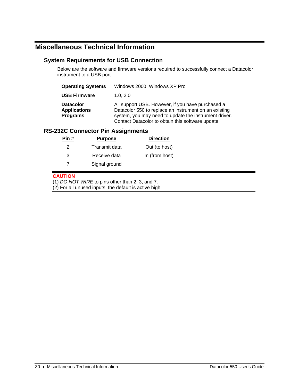### <span id="page-34-0"></span>**Miscellaneous Technical Information**

#### <span id="page-34-1"></span>**System Requirements for USB Connection**

Below are the software and firmware versions required to successfully connect a Datacolor instrument to a USB port.

| <b>Operating Systems</b>                                   | Windows 2000, Windows XP Pro                                                                                                                                                                                             |
|------------------------------------------------------------|--------------------------------------------------------------------------------------------------------------------------------------------------------------------------------------------------------------------------|
| <b>USB Firmware</b>                                        | 1.0.2.0                                                                                                                                                                                                                  |
| <b>Datacolor</b><br><b>Applications</b><br><b>Programs</b> | All support USB. However, if you have purchased a<br>Datacolor 550 to replace an instrument on an existing<br>system, you may need to update the instrument driver.<br>Contact Datacolor to obtain this software update. |

#### <span id="page-34-2"></span>**RS-232C Connector Pin Assignments**

| Pin # | <b>Purpose</b> | <b>Direction</b> |
|-------|----------------|------------------|
| 2     | Transmit data  | Out (to host)    |
| 3     | Receive data   | In (from host)   |
|       | Signal ground  |                  |
|       |                |                  |

#### **CAUTION**

(1) *DO NOT WIRE* to pins other than 2, 3, and 7.

(2) For all unused inputs, the default is active high.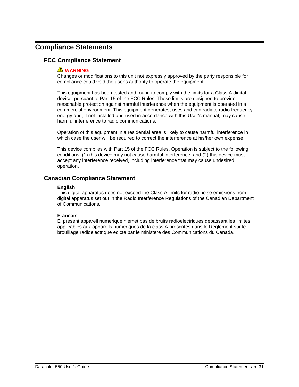### <span id="page-35-0"></span>**Compliance Statements**

#### <span id="page-35-1"></span>**FCC Compliance Statement**

#### **WARNING**

Changes or modifications to this unit not expressly approved by the party responsible for compliance could void the user's authority to operate the equipment.

This equipment has been tested and found to comply with the limits for a Class A digital device, pursuant to Part 15 of the FCC Rules. These limits are designed to provide reasonable protection against harmful interference when the equipment is operated in a commercial environment. This equipment generates, uses and can radiate radio frequency energy and, if not installed and used in accordance with this User's manual, may cause harmful interference to radio communications.

Operation of this equipment in a residential area is likely to cause harmful interference in which case the user will be required to correct the interference at his/her own expense.

This device complies with Part 15 of the FCC Rules. Operation is subject to the following conditions: (1) this device may not cause harmful interference, and (2) this device must accept any interference received, including interference that may cause undesired operation.

#### <span id="page-35-2"></span>**Canadian Compliance Statement**

#### **English**

This digital apparatus does not exceed the Class A limits for radio noise emissions from digital apparatus set out in the Radio Interference Regulations of the Canadian Department of Communications.

#### **Francais**

El present appareil numerique n'emet pas de bruits radioelectriques depassant les limites applicables aux appareils numeriques de la class A prescrites dans le Reglement sur le brouillage radioelectrique edicte par le ministere des Communications du Canada.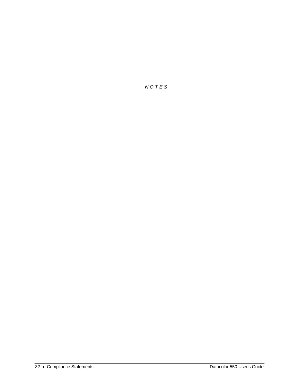*N O T E S*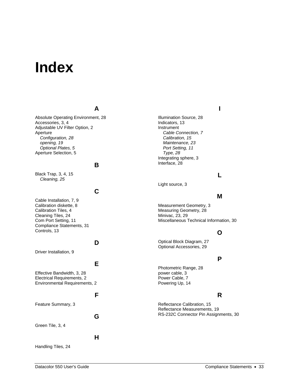## <span id="page-37-0"></span>**Index**

#### **A**

Absolute Operating Environment, 28 Accessories, 3, 4 Adjustable UV Filter Option, 2 Aperture *Configuration, 28 opening, 19 Optional Plates, 5*  Aperture Selection, 5

#### **B**

Black Trap, 3, 4, 15 *Cleaning, 25* 

### **C**

Cable Installation, 7, 9 Calibration diskette, 8 Calibration Tiles, 4 Cleaning Tiles, 24 Com Port Setting, 11 Compliance Statements, 31 Controls, 13

#### **D**

Driver Installation, 9

#### **E**

Effective Bandwidth, 3, 28 Electrical Requirements, 2 Environmental Requirements, 2

#### **F**

Feature Summary, 3

#### **G**

**H**

Green Tile, 3, 4

Handling Tiles, 24

Illumination Source, 28 Indicators, 13 Instrument *Cable Connection, 7 Calibration, 15 Maintenance, 23 Port Setting, 11 Type, 28*  Integrating sphere, 3 Interface, 28

#### **L**

**I**

Light source, 3

#### **M**

Measurement Geometry, 3 Measuring Geometry, 28 Minivac, 23, 29 Miscellaneous Technical Information, 30

#### **O**

Optical Block Diagram, 27 Optional Accessories, 29

#### **P**

Photometric Range, 28 power cable, 3 Power Cable, 7 Powering Up, 14

#### **R**

Reflectance Calibration, 15 Reflectance Measurements, 19 RS-232C Connector Pin Assignments, 30